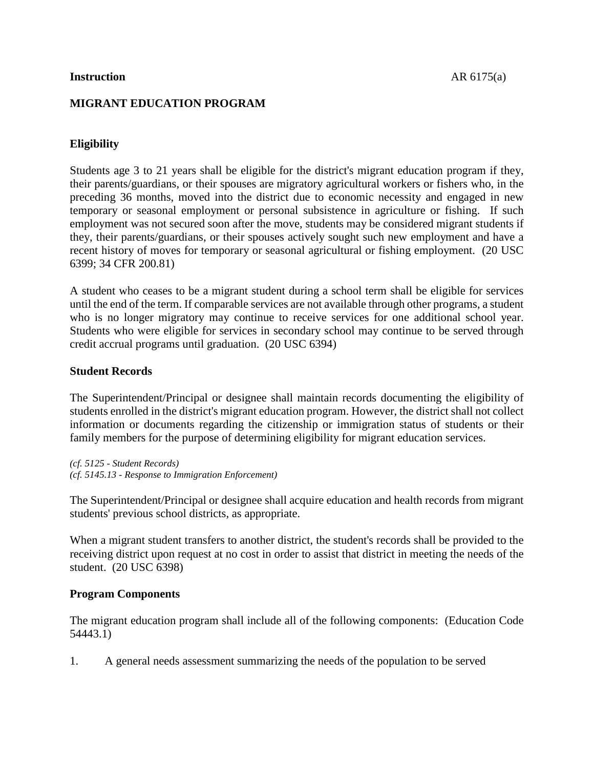#### **Instruction** AR 6175(a)

# **MIGRANT EDUCATION PROGRAM**

# **Eligibility**

Students age 3 to 21 years shall be eligible for the district's migrant education program if they, their parents/guardians, or their spouses are migratory agricultural workers or fishers who, in the preceding 36 months, moved into the district due to economic necessity and engaged in new temporary or seasonal employment or personal subsistence in agriculture or fishing. If such employment was not secured soon after the move, students may be considered migrant students if they, their parents/guardians, or their spouses actively sought such new employment and have a recent history of moves for temporary or seasonal agricultural or fishing employment. (20 USC 6399; 34 CFR 200.81)

A student who ceases to be a migrant student during a school term shall be eligible for services until the end of the term. If comparable services are not available through other programs, a student who is no longer migratory may continue to receive services for one additional school year. Students who were eligible for services in secondary school may continue to be served through credit accrual programs until graduation. (20 USC 6394)

## **Student Records**

The Superintendent/Principal or designee shall maintain records documenting the eligibility of students enrolled in the district's migrant education program. However, the district shall not collect information or documents regarding the citizenship or immigration status of students or their family members for the purpose of determining eligibility for migrant education services.

*(cf. 5125 - Student Records) (cf. 5145.13 - Response to Immigration Enforcement)*

The Superintendent/Principal or designee shall acquire education and health records from migrant students' previous school districts, as appropriate.

When a migrant student transfers to another district, the student's records shall be provided to the receiving district upon request at no cost in order to assist that district in meeting the needs of the student. (20 USC 6398)

## **Program Components**

The migrant education program shall include all of the following components: (Education Code 54443.1)

1. A general needs assessment summarizing the needs of the population to be served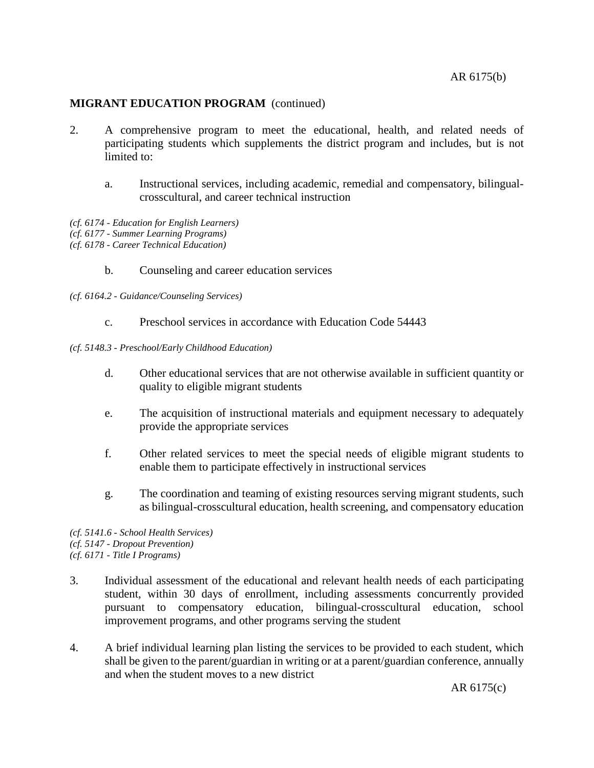- 2. A comprehensive program to meet the educational, health, and related needs of participating students which supplements the district program and includes, but is not limited to:
	- a. Instructional services, including academic, remedial and compensatory, bilingualcrosscultural, and career technical instruction
- *(cf. 6174 - Education for English Learners)*
- *(cf. 6177 - Summer Learning Programs)*
- *(cf. 6178 - Career Technical Education)*
	- b. Counseling and career education services
- *(cf. 6164.2 - Guidance/Counseling Services)*
	- c. Preschool services in accordance with Education Code 54443
- *(cf. 5148.3 - Preschool/Early Childhood Education)*
	- d. Other educational services that are not otherwise available in sufficient quantity or quality to eligible migrant students
	- e. The acquisition of instructional materials and equipment necessary to adequately provide the appropriate services
	- f. Other related services to meet the special needs of eligible migrant students to enable them to participate effectively in instructional services
	- g. The coordination and teaming of existing resources serving migrant students, such as bilingual-crosscultural education, health screening, and compensatory education

*(cf. 5141.6 - School Health Services) (cf. 5147 - Dropout Prevention) (cf. 6171 - Title I Programs)*

- 3. Individual assessment of the educational and relevant health needs of each participating student, within 30 days of enrollment, including assessments concurrently provided pursuant to compensatory education, bilingual-crosscultural education, school improvement programs, and other programs serving the student
- 4. A brief individual learning plan listing the services to be provided to each student, which shall be given to the parent/guardian in writing or at a parent/guardian conference, annually and when the student moves to a new district

AR 6175(c)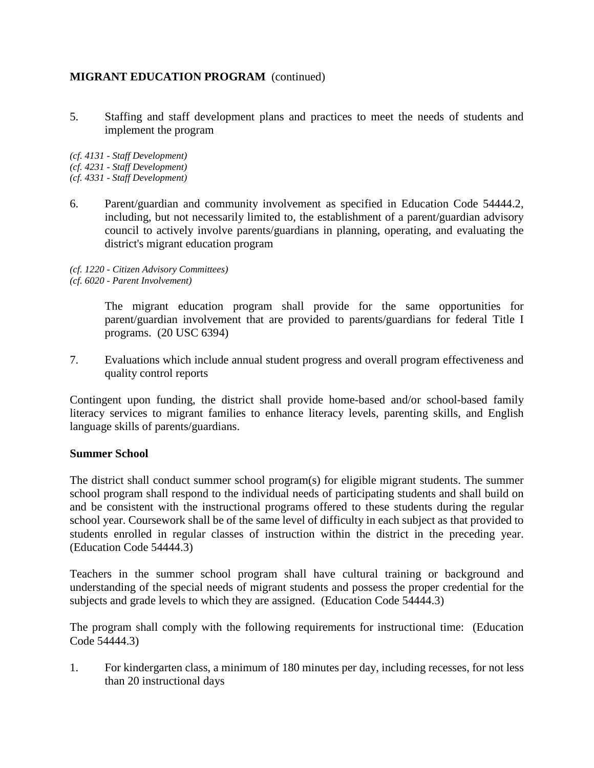5. Staffing and staff development plans and practices to meet the needs of students and implement the program

*(cf. 4131 - Staff Development) (cf. 4231 - Staff Development) (cf. 4331 - Staff Development)*

6. Parent/guardian and community involvement as specified in Education Code 54444.2, including, but not necessarily limited to, the establishment of a parent/guardian advisory council to actively involve parents/guardians in planning, operating, and evaluating the district's migrant education program

*(cf. 1220 - Citizen Advisory Committees) (cf. 6020 - Parent Involvement)*

> The migrant education program shall provide for the same opportunities for parent/guardian involvement that are provided to parents/guardians for federal Title I programs. (20 USC 6394)

7. Evaluations which include annual student progress and overall program effectiveness and quality control reports

Contingent upon funding, the district shall provide home-based and/or school-based family literacy services to migrant families to enhance literacy levels, parenting skills, and English language skills of parents/guardians.

## **Summer School**

The district shall conduct summer school program(s) for eligible migrant students. The summer school program shall respond to the individual needs of participating students and shall build on and be consistent with the instructional programs offered to these students during the regular school year. Coursework shall be of the same level of difficulty in each subject as that provided to students enrolled in regular classes of instruction within the district in the preceding year. (Education Code 54444.3)

Teachers in the summer school program shall have cultural training or background and understanding of the special needs of migrant students and possess the proper credential for the subjects and grade levels to which they are assigned. (Education Code 54444.3)

The program shall comply with the following requirements for instructional time: (Education Code 54444.3)

1. For kindergarten class, a minimum of 180 minutes per day, including recesses, for not less than 20 instructional days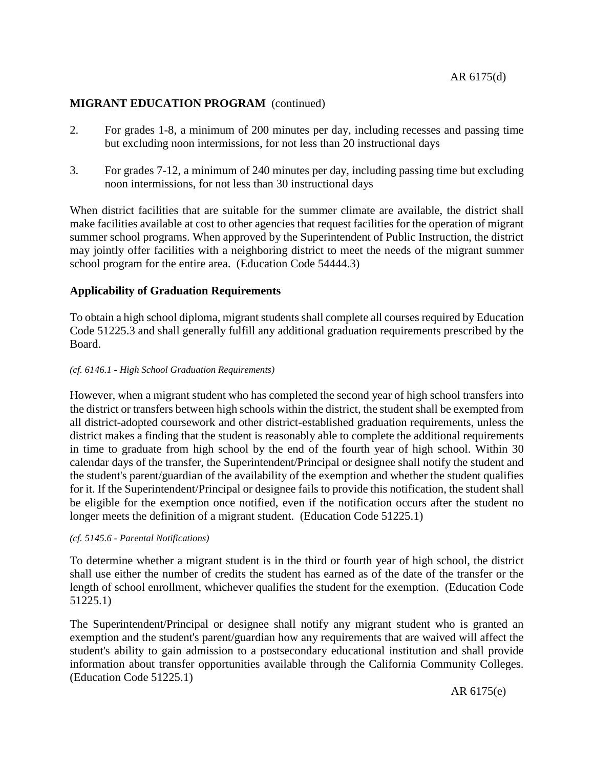- 2. For grades 1-8, a minimum of 200 minutes per day, including recesses and passing time but excluding noon intermissions, for not less than 20 instructional days
- 3. For grades 7-12, a minimum of 240 minutes per day, including passing time but excluding noon intermissions, for not less than 30 instructional days

When district facilities that are suitable for the summer climate are available, the district shall make facilities available at cost to other agencies that request facilities for the operation of migrant summer school programs. When approved by the Superintendent of Public Instruction, the district may jointly offer facilities with a neighboring district to meet the needs of the migrant summer school program for the entire area. (Education Code 54444.3)

## **Applicability of Graduation Requirements**

To obtain a high school diploma, migrant students shall complete all courses required by Education Code 51225.3 and shall generally fulfill any additional graduation requirements prescribed by the Board.

#### *(cf. 6146.1 - High School Graduation Requirements)*

However, when a migrant student who has completed the second year of high school transfers into the district or transfers between high schools within the district, the student shall be exempted from all district-adopted coursework and other district-established graduation requirements, unless the district makes a finding that the student is reasonably able to complete the additional requirements in time to graduate from high school by the end of the fourth year of high school. Within 30 calendar days of the transfer, the Superintendent/Principal or designee shall notify the student and the student's parent/guardian of the availability of the exemption and whether the student qualifies for it. If the Superintendent/Principal or designee fails to provide this notification, the student shall be eligible for the exemption once notified, even if the notification occurs after the student no longer meets the definition of a migrant student. (Education Code 51225.1)

#### *(cf. 5145.6 - Parental Notifications)*

To determine whether a migrant student is in the third or fourth year of high school, the district shall use either the number of credits the student has earned as of the date of the transfer or the length of school enrollment, whichever qualifies the student for the exemption. (Education Code 51225.1)

The Superintendent/Principal or designee shall notify any migrant student who is granted an exemption and the student's parent/guardian how any requirements that are waived will affect the student's ability to gain admission to a postsecondary educational institution and shall provide information about transfer opportunities available through the California Community Colleges. (Education Code 51225.1)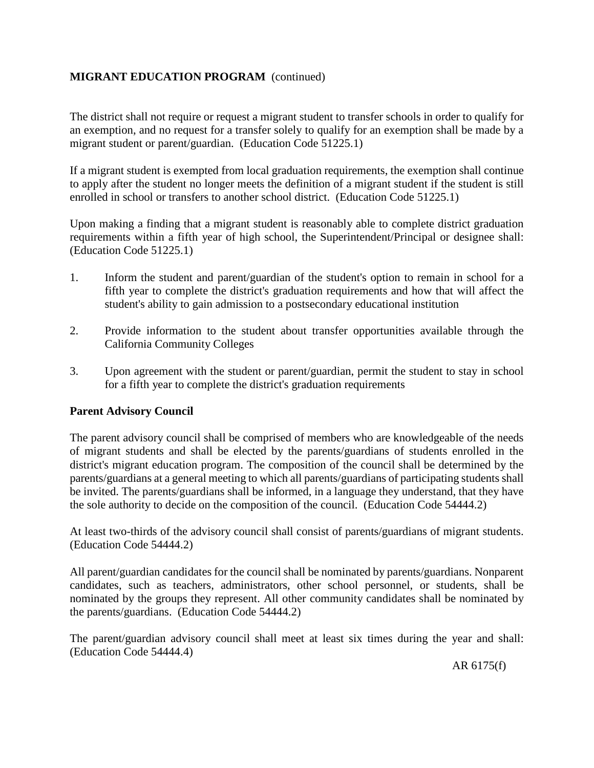The district shall not require or request a migrant student to transfer schools in order to qualify for an exemption, and no request for a transfer solely to qualify for an exemption shall be made by a migrant student or parent/guardian. (Education Code 51225.1)

If a migrant student is exempted from local graduation requirements, the exemption shall continue to apply after the student no longer meets the definition of a migrant student if the student is still enrolled in school or transfers to another school district. (Education Code 51225.1)

Upon making a finding that a migrant student is reasonably able to complete district graduation requirements within a fifth year of high school, the Superintendent/Principal or designee shall: (Education Code 51225.1)

- 1. Inform the student and parent/guardian of the student's option to remain in school for a fifth year to complete the district's graduation requirements and how that will affect the student's ability to gain admission to a postsecondary educational institution
- 2. Provide information to the student about transfer opportunities available through the California Community Colleges
- 3. Upon agreement with the student or parent/guardian, permit the student to stay in school for a fifth year to complete the district's graduation requirements

# **Parent Advisory Council**

The parent advisory council shall be comprised of members who are knowledgeable of the needs of migrant students and shall be elected by the parents/guardians of students enrolled in the district's migrant education program. The composition of the council shall be determined by the parents/guardians at a general meeting to which all parents/guardians of participating students shall be invited. The parents/guardians shall be informed, in a language they understand, that they have the sole authority to decide on the composition of the council. (Education Code 54444.2)

At least two-thirds of the advisory council shall consist of parents/guardians of migrant students. (Education Code 54444.2)

All parent/guardian candidates for the council shall be nominated by parents/guardians. Nonparent candidates, such as teachers, administrators, other school personnel, or students, shall be nominated by the groups they represent. All other community candidates shall be nominated by the parents/guardians. (Education Code 54444.2)

The parent/guardian advisory council shall meet at least six times during the year and shall: (Education Code 54444.4)

AR 6175(f)